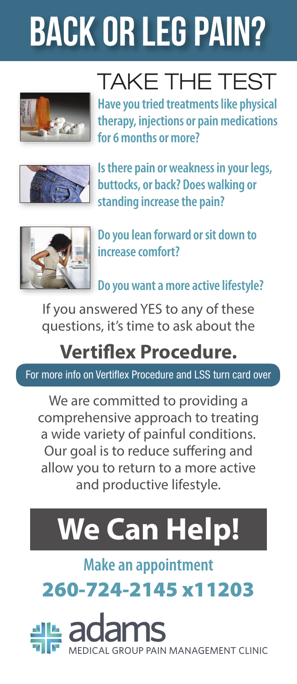# BACK OR LEG PAIN?



TAKE THE TEST

**Have you tried treatments like physical therapy, injections or pain medications for 6 months or more?**



**Is there pain or weakness in your legs, buttocks, or back? Does walking or standing increase the pain?**



**Do you lean forward or sit down to increase comfort?**

**Do you want a more active lifestyle?**

If you answered YES to any of these questions, it's time to ask about the

### **Vertiflex Procedure.**

For more info on Vertiflex Procedure and LSS turn card over

We are committed to providing a comprehensive approach to treating a wide variety of painful conditions. Our goal is to reduce suffering and allow you to return to a more active and productive lifestyle.

## **We Can Help!**

**Make an appointment**